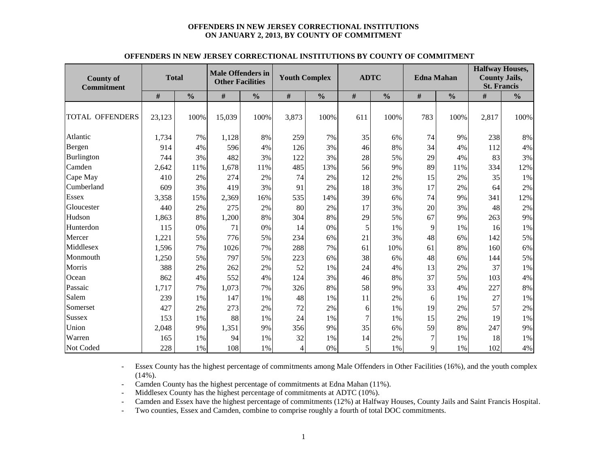#### **OFFENDERS IN NEW JERSEY CORRECTIONAL INSTITUTIONS ON JANUARY 2, 2013, BY COUNTY OF COMMITMENT**

| <b>County of</b>       |              |               | <b>Male Offenders in</b> |               |                      |               |             |               |                   |               | <b>Halfway Houses,</b> |               |  |  |
|------------------------|--------------|---------------|--------------------------|---------------|----------------------|---------------|-------------|---------------|-------------------|---------------|------------------------|---------------|--|--|
|                        | <b>Total</b> |               | <b>Other Facilities</b>  |               | <b>Youth Complex</b> |               | <b>ADTC</b> |               | <b>Edna Mahan</b> |               | <b>County Jails,</b>   |               |  |  |
| <b>Commitment</b>      |              |               |                          |               |                      |               |             |               |                   |               | <b>St. Francis</b>     |               |  |  |
|                        | $\#$         | $\frac{0}{0}$ | $\#$                     | $\frac{0}{0}$ | $\#$                 | $\frac{0}{0}$ | $\#$        | $\frac{0}{0}$ | $\#$              | $\frac{0}{0}$ | $\#$                   | $\frac{0}{0}$ |  |  |
| <b>TOTAL OFFENDERS</b> | 23,123       | 100%          | 15,039                   | 100%          | 3,873                | 100%          | 611         | 100%          | 783               | 100%          | 2,817                  | 100%          |  |  |
| Atlantic               | 1,734        | 7%            | 1,128                    | 8%            | 259                  | 7%            | 35          | 6%            | 74                | 9%            | 238                    | 8%            |  |  |
| Bergen                 | 914          | 4%            | 596                      | 4%            | 126                  | 3%            | 46          | 8%            | 34                | 4%            | 112                    | 4%            |  |  |
| Burlington             |              | 3%            | 482                      | 3%            | 122                  |               | 28          | 5%            | 29                | 4%            | 83                     | 3%            |  |  |
| Camden                 | 744          |               |                          |               |                      | 3%            |             |               | 89                |               |                        |               |  |  |
|                        | 2,642        | 11%           | 1,678                    | 11%           | 485                  | 13%           | 56          | 9%            |                   | 11%           | 334                    | 12%           |  |  |
| Cape May               | 410          | 2%            | 274                      | 2%            | 74                   | 2%            | 12          | 2%            | 15                | 2%            | 35                     | 1%            |  |  |
| Cumberland             | 609          | 3%            | 419                      | 3%            | 91                   | 2%            | 18          | 3%            | 17                | 2%            | 64                     | 2%            |  |  |
| <b>Essex</b>           | 3,358        | 15%           | 2,369                    | 16%           | 535                  | 14%           | 39          | 6%            | 74                | 9%            | 341                    | 12%           |  |  |
| Gloucester             | 440          | 2%            | 275                      | 2%            | 80                   | 2%            | 17          | 3%            | 20                | 3%            | 48                     | 2%            |  |  |
| Hudson                 | 1,863        | 8%            | 1,200                    | 8%            | 304                  | 8%            | 29          | 5%            | 67                | 9%            | 263                    | 9%            |  |  |
| Hunterdon              | 115          | 0%            | 71                       | 0%            | 14                   | 0%            | 5           | 1%            | 9                 | 1%            | 16                     | 1%            |  |  |
| Mercer                 | 1,221        | 5%            | 776                      | 5%            | 234                  | 6%            | 21          | 3%            | 48                | 6%            | 142                    | 5%            |  |  |
| Middlesex              | 1,596        | 7%            | 1026                     | 7%            | 288                  | 7%            | 61          | 10%           | 61                | 8%            | 160                    | 6%            |  |  |
| Monmouth               | 1,250        | 5%            | 797                      | 5%            | 223                  | 6%            | 38          | 6%            | 48                | 6%            | 144                    | 5%            |  |  |
| Morris                 | 388          | 2%            | 262                      | 2%            | 52                   | 1%            | 24          | 4%            | 13                | 2%            | 37                     | 1%            |  |  |
| Ocean                  | 862          | 4%            | 552                      | 4%            | 124                  | 3%            | 46          | 8%            | 37                | 5%            | 103                    | 4%            |  |  |
| Passaic                | 1,717        | 7%            | 1,073                    | 7%            | 326                  | 8%            | 58          | 9%            | 33                | 4%            | 227                    | $8\%$         |  |  |
| Salem                  | 239          | 1%            | 147                      | 1%            | 48                   | 1%            | 11          | 2%            | 6                 | 1%            | 27                     | 1%            |  |  |
| Somerset               | 427          | 2%            | 273                      | 2%            | 72                   | 2%            | 6           | 1%            | 19                | 2%            | 57                     | 2%            |  |  |
| Sussex                 | 153          | 1%            | 88                       | 1%            | 24                   | 1%            | 7           | 1%            | 15                | 2%            | 19                     | 1%            |  |  |
| Union                  | 2,048        | 9%            | 1,351                    | 9%            | 356                  | 9%            | 35          | 6%            | 59                | 8%            | 247                    | 9%            |  |  |
| Warren                 | 165          | 1%            | 94                       | 1%            | 32                   | 1%            | 14          | 2%            | 7                 | 1%            | 18                     | $1\%$         |  |  |
| Not Coded              | 228          | 1%            | 108                      | 1%            | $\overline{4}$       | 0%            | 5           | 1%            | 9                 | 1%            | 102                    | 4%            |  |  |

### **OFFENDERS IN NEW JERSEY CORRECTIONAL INSTITUTIONS BY COUNTY OF COMMITMENT**

- Essex County has the highest percentage of commitments among Male Offenders in Other Facilities (16%), and the youth complex  $(14\%)$ .

- Camden County has the highest percentage of commitments at Edna Mahan (11%).

- Middlesex County has the highest percentage of commitments at ADTC (10%).

- Camden and Essex have the highest percentage of commitments (12%) at Halfway Houses, County Jails and Saint Francis Hospital.

- Two counties, Essex and Camden, combine to comprise roughly a fourth of total DOC commitments.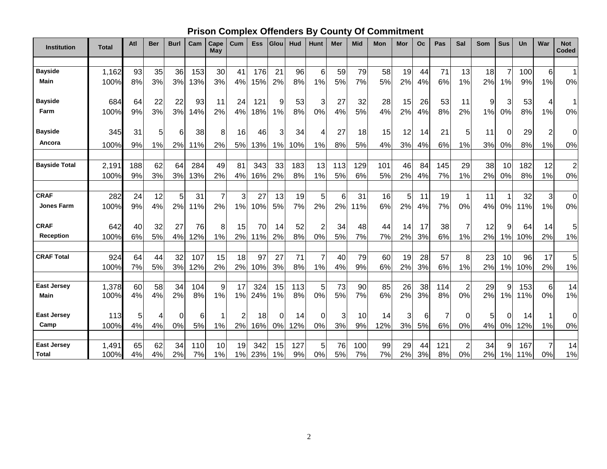# **Prison Complex Offenders By County Of Commitment**

| Institution          | Total | Atl | <b>Ber</b> | <b>Burl</b> | Cam | Cape<br>May    | Cum | <b>Ess</b> | Glou     | Hud | <b>Hunt</b>    | Mer | Mid | Mon | Mor | <b>Oc</b> | Pas            | Sal                     | Som | <b>Sus</b>     | <b>Un</b> | War            | <b>Not</b><br><b>Coded</b> |
|----------------------|-------|-----|------------|-------------|-----|----------------|-----|------------|----------|-----|----------------|-----|-----|-----|-----|-----------|----------------|-------------------------|-----|----------------|-----------|----------------|----------------------------|
|                      |       |     |            |             |     |                |     |            |          |     |                |     |     |     |     |           |                |                         |     |                |           |                |                            |
| <b>Bayside</b>       | 1,162 | 93  | 35         | 36          | 153 | 30             | 41  | 176        | 21       | 96  | 6              | 59  | 79  | 58  | 19  | 44        | 71             | 13                      | 18  | $\overline{7}$ | 100       | $6 \mid$       | $\mathbf{1}$               |
| Main                 | 100%  | 8%  | 3%         | 3%          | 13% | 3%             | 4%  | 15%        | 2%       | 8%  | 1%             | 5%  | 7%  | 5%  | 2%  | 4%        | 6%             | 1%                      | 2%  | 1%             | 9%        | 1%             | 0%                         |
| <b>Bayside</b>       | 684   | 64  | 22         | 22          | 93  | 11             | 24  | 121        | 9        | 53  | 3              | 27  | 32  | 28  | 15  | 26        | 53             | 11                      | 9   | 3              | 53        | 4              | 1                          |
| Farm                 | 100%  | 9%  | 3%         | 3%          | 14% | 2%             | 4%  | 18%        | 1%       | 8%  | 0%             | 4%  | 5%  | 4%  | 2%  | 4%        | 8%             | 2%                      | 1%  | 0%             | 8%        | 1%             | 0%                         |
|                      |       |     |            |             |     |                |     |            |          |     |                |     |     |     |     |           |                |                         |     |                |           |                |                            |
| <b>Bayside</b>       | 345   | 31  | 5          | 6           | 38  | 8              | 16  | 46         | 3        | 34  | 4              | 27  | 18  | 15  | 12  | 14        | 21             | 5                       | 11  | $\Omega$       | 29        | $\overline{2}$ | $\mathbf 0$                |
| Ancora               | 100%  | 9%  | 1%         | 2%          | 11% | 2%             | 5%  | 13%        | 1%       | 10% | 1%             | 8%  | 5%  | 4%  | 3%  | 4%        | 6%             | 1%                      | 3%  | 0%             | 8%        | 1%             | 0%                         |
|                      |       |     |            |             |     |                |     |            |          |     |                |     |     |     |     |           |                |                         |     |                |           |                |                            |
| <b>Bayside Total</b> | 2,191 | 188 | 62         | 64          | 284 | 49             | 81  | 343        | 33       | 183 | 13             | 113 | 129 | 101 | 46  | 84        | 145            | 29                      | 38  | 10             | 182       | 12             | $\overline{c}$             |
|                      | 100%  | 9%  | 3%         | 3%          | 13% | 2%             | 4%  | 16%        | 2%       | 8%  | 1%             | 5%  | 6%  | 5%  | 2%  | 4%        | 7%             | 1%                      | 2%  | 0%             | 8%        | 1%             | 0%                         |
|                      |       |     |            |             |     |                |     |            |          |     |                |     |     |     |     |           |                |                         |     |                |           |                |                            |
| <b>CRAF</b>          | 282   | 24  | 12         | 5           | 31  | $\overline{7}$ | 3   | 27         | 13       | 19  | 5              | 6   | 31  | 16  | 5   | 11        | 19             | 1                       | 11  | 1              | 32        | 3              | $\mathbf 0$                |
| <b>Jones Farm</b>    | 100%  | 9%  | 4%         | 2%          | 11% | 2%             | 1%  | 10%        | 5%       | 7%  | 2%             | 2%  | 11% | 6%  | 2%  | 4%        | 7%             | 0%                      | 4%  | 0%             | 11%       | 1%             | 0%                         |
| <b>CRAF</b>          | 642   | 40  | 32         | 27          | 76  | 8              | 15  | 70         | 14       | 52  | $\overline{2}$ | 34  | 48  | 44  | 14  | 17        | 38             | 7                       | 12  | 9              | 64        | 14             | 5                          |
| <b>Reception</b>     | 100%  | 6%  | 5%         | 4%          | 12% | 1%             | 2%  | 11%        | 2%       | 8%  | 0%             | 5%  | 7%  | 7%  | 2%  | 3%        | 6%             | 1%                      | 2%  | 1%             | 10%       | 2%             | 1%                         |
|                      |       |     |            |             |     |                |     |            |          |     |                |     |     |     |     |           |                |                         |     |                |           |                |                            |
| <b>CRAF Total</b>    | 924   | 64  | 44         | 32          | 107 | 15             | 18  | 97         | 27       | 71  | $\overline{7}$ | 40  | 79  | 60  | 19  | 28        | 57             | 8                       | 23  | 10             | 96        | 17             | 5                          |
|                      | 100%  | 7%  | 5%         | 3%          | 12% | 2%             | 2%  | 10%        | 3%       | 8%  | 1%             | 4%  | 9%  | 6%  | 2%  | 3%        | 6%             | 1%                      | 2%  | 1%             | 10%       | 2%             | 1%                         |
| <b>East Jersey</b>   | 1,378 | 60  | 58         | 34          | 104 | 9              | 17  | 324        | 15       | 113 | 5              | 73  | 90  | 85  | 26  | 38        | 114            | $\overline{\mathbf{c}}$ | 29  | 9              | 153       | 6              | 14                         |
| <b>Main</b>          | 100%  | 4%  | 4%         | 2%          | 8%  | 1%             | 1%  | 24%        | 1%       | 8%  | 0%             | 5%  | 7%  | 6%  | 2%  | 3%        | 8%             | 0%                      | 2%  | 1%             | 11%       | 0%             | 1%                         |
|                      |       |     |            |             |     |                |     |            |          |     |                |     |     |     |     |           |                |                         |     |                |           |                |                            |
| <b>East Jersey</b>   | 113   | 5   | 4          | 0           | 6   | 1              | 2   | 18         | $\Omega$ | 14  | $\Omega$       | 3   | 10  | 14  | 3   | 6         | $\overline{7}$ | 0                       | 5   | $\Omega$       | 14        |                | 0                          |
| Camp                 | 100%  | 4%  | 4%         | 0%          | 5%  | 1%             | 2%  | 16%        | 0%       | 12% | 0%             | 3%  | 9%  | 12% | 3%  | 5%        | 6%             | 0%                      | 4%  | 0%             | 12%       | 1%             | 0%                         |
|                      |       |     |            |             |     |                |     |            |          |     |                |     |     |     |     |           |                |                         |     |                |           |                |                            |
| <b>East Jersey</b>   | 1,491 | 65  | 62         | 34          | 110 | 10             | 19  | 342        | 15       | 127 | 5              | 76  | 100 | 99  | 29  | 44        | 121            | $\overline{c}$          | 34  | 9              | 167       |                | 14                         |
| <b>Total</b>         | 100%  | 4%  | 4%         | 2%          | 7%  | 1%             | 1%  | 23%        | 1%       | 9%  | 0%             | 5%  | 7%  | 7%  | 2%  | 3%        | 8%             | 0%                      | 2%  | 1%             | 11%       | 0%             | 1%                         |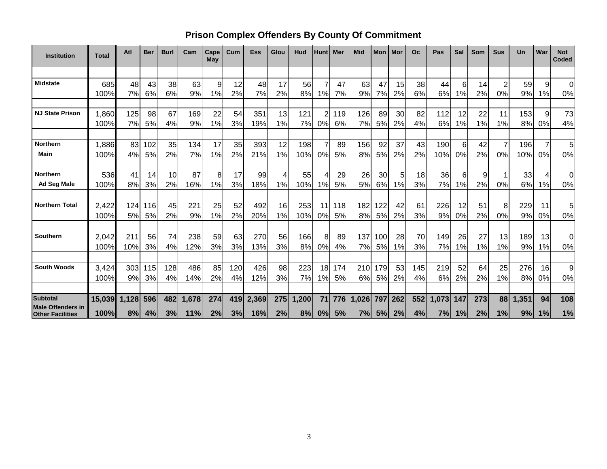## **Prison Complex Offenders By County Of Commitment**

| <b>Institution</b>                                  | <b>Total</b> | Atl   | <b>Ber</b> | <b>Burl</b> | Cam   | Cape<br>May | Cum | <b>Ess</b> | Glou | Hud   | <b>Hunt   Mer</b> |     | <b>Mid</b> | <b>Mon</b> | Mor | Oc  | Pas   | Sal | Som | <b>Sus</b> | Un    | War | <b>Not</b><br><b>Coded</b> |
|-----------------------------------------------------|--------------|-------|------------|-------------|-------|-------------|-----|------------|------|-------|-------------------|-----|------------|------------|-----|-----|-------|-----|-----|------------|-------|-----|----------------------------|
|                                                     |              |       |            |             |       |             |     |            |      |       |                   |     |            |            |     |     |       |     |     |            |       |     |                            |
| <b>Midstate</b>                                     | 685          | 48    | 43         | 38          | 63    | 9           | 12  | 48         | 17   | 56    | 7                 | 47  | 63         | 47         | 15  | 38  | 44    | 6   | 14  |            | 59    | 9   | $\Omega$                   |
|                                                     | 100%         | 7%    | 6%         | 6%          | 9%    | 1%          | 2%  | 7%         | 2%   | 8%    | 1%                | 7%  | 9%         | 7%         | 2%  | 6%  | 6%    | 1%  | 2%  | 0%         | 9%    | 1%  | 0%                         |
|                                                     |              |       |            |             |       |             |     |            |      |       |                   |     |            |            |     |     |       |     |     |            |       |     |                            |
| <b>NJ State Prison</b>                              | ,860         | 125   | 98         | 67          | 169   | 22          | 54  | 351        | 13   | 121   | 2                 | 119 | 126        | 89         | 30  | 82  | 112   | 12  | 22  | 11         | 153   | 9   | 73                         |
|                                                     | 100%         | 7%    | 5%         | 4%          | 9%    | 1%          | 3%  | 19%        | 1%   | 7%    | 0%                | 6%  | 7%         | 5%         | 2%  | 4%  | 6%    | 1%  | 1%  | 1%         | 8%    | 0%  | 4%                         |
|                                                     |              |       |            |             |       |             |     |            |      |       |                   |     |            |            |     |     |       |     |     |            |       |     |                            |
| <b>Northern</b>                                     | 1,886        | 83    | 102        | 35          | 134   | 17          | 35  | 393        | 12   | 198   | $\overline{7}$    | 89  | 156        | 92         | 37  | 43  | 190   | 6   | 42  |            | 196   |     | 5                          |
| Main                                                | 100%         | 4%    | 5%         | 2%          | 7%    | 1%          | 2%  | 21%        | 1%   | 10%   | 0%                | 5%  | 8%         | 5%         | 2%  | 2%  | 10%   | 0%  | 2%  | 0%         | 10%   | 0%  | $0\%$                      |
|                                                     |              |       |            |             |       |             |     |            |      |       |                   |     |            |            |     |     |       |     |     |            |       |     |                            |
| <b>Northern</b>                                     | 536          | 41    | 14         | 10          | 87    | 8           | 17  | 99         | 4    | 55    | 4                 | 29  | 26         | 30         | 5   | 18  | 36    | 6   | 9   |            | 33    |     | 0                          |
| <b>Ad Seg Male</b>                                  | 100%         | 8%    | 3%         | 2%          | 16%   | 1%          | 3%  | 18%        | 1%   | 10%   | 1%                | 5%  | 5%         | 6%         | 1%  | 3%  | 7%    | 1%  | 2%  | 0%         | 6%    | 1%  | $0\%$                      |
|                                                     |              |       |            |             |       |             |     |            |      |       |                   |     |            |            |     |     |       |     |     |            |       |     |                            |
| <b>Northern Total</b>                               | 2,422        | 124   | 116        | 45          | 221   | 25          | 52  | 492        | 16   | 253   | 11                | 118 | 182        | 122        | 42  | 61  | 226   | 12  | 51  | 8          | 229   | 11  | 5                          |
|                                                     | 100%         | 5%    | 5%         | 2%          | 9%    | 1%          | 2%  | 20%        | 1%   | 10%   | 0%                | 5%  | 8%         | 5%         | 2%  | 3%  | 9%    | 0%  | 2%  | 0%         | 9%    | 0%  | $0\%$                      |
|                                                     |              |       |            |             |       |             |     |            |      |       |                   |     |            |            |     |     |       |     |     |            |       |     |                            |
| <b>Southern</b>                                     | 2,042        | 211   | 56         | 74          | 238   | 59          | 63  | 270        | 56   | 166   | 8                 | 89  | 137        | 100        | 28  | 70  | 149   | 26  | 27  | 13         | 189   | 13  | 0                          |
|                                                     | 100%         | 10%   | 3%         | 4%          | 12%   | 3%          | 3%  | 13%        | 3%   | 8%    | 0%                | 4%  | 7%         | 5%         | 1%  | 3%  | 7%    | 1%  | 1%  | 1%         | 9%    | 1%  | $0\%$                      |
|                                                     |              |       |            |             |       |             |     |            |      |       |                   |     |            |            |     |     |       |     |     |            |       |     |                            |
| <b>South Woods</b>                                  | 3,424        | 303   | 115        | 128         | 486   | 85          | 120 | 426        | 98   | 223   | 18                | 174 | 210        | 179        | 53  | 145 | 219   | 52  | 64  | 25         | 276   | 16  | 9                          |
|                                                     | 100%         | 9%    | 3%         | 4%          | 14%   | 2%          | 4%  | 12%        | 3%   | 7%    | 1%                | 5%  | 6%         | 5%         | 2%  | 4%  | 6%    | 2%  | 2%  | 1%         | 8%    | 0%  | $0\%$                      |
|                                                     |              |       |            |             |       |             |     |            |      |       |                   |     |            |            |     |     |       |     |     |            |       |     |                            |
| <b>Subtotal</b>                                     | 15,039       | 1,128 | 596        | 482         | 1,678 | 274         | 419 | 2,369      | 275  | 1,200 | 71                | 776 | 1,026      | 797        | 262 | 552 | 1,073 | 147 | 273 | 88         | 1,351 | 94  | 108                        |
| <b>Male Offenders in</b><br><b>Other Facilities</b> | 100%         | 8%    | 4%         | 3%          | 11%   | 2%          | 3%  | 16%        | 2%   | 8%    | 0%                | 5%  | 7%         | 5%         | 2%  | 4%  | 7%    | 1%  | 2%  | 1%         | 9%    | 1%  | 1%                         |
|                                                     |              |       |            |             |       |             |     |            |      |       |                   |     |            |            |     |     |       |     |     |            |       |     |                            |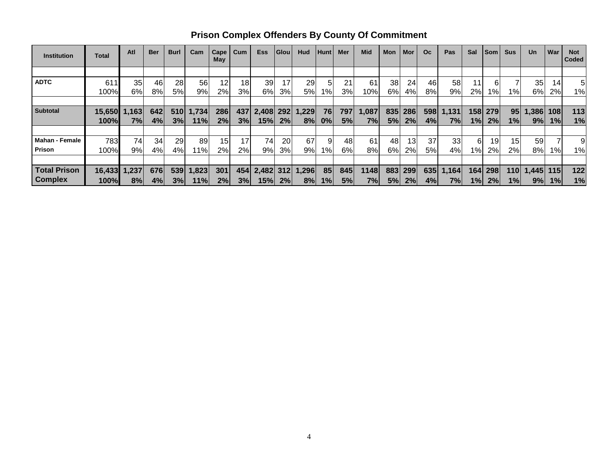| <b>Institution</b>    | Total  | Atl   | <b>Ber</b> | <b>Burl</b> | Cam   | Cape<br>May | Cum | <b>Ess</b> | Glou | Hud   | Hunt            | Mer | <b>Mid</b> | Mon             | Mor | <b>Oc</b> | Pas   | Sal   | <b>Som</b> | <b>Sus</b>       | Un    | War        | <b>Not</b><br>Coded |
|-----------------------|--------|-------|------------|-------------|-------|-------------|-----|------------|------|-------|-----------------|-----|------------|-----------------|-----|-----------|-------|-------|------------|------------------|-------|------------|---------------------|
|                       |        |       |            |             |       |             |     |            |      |       |                 |     |            |                 |     |           |       |       |            |                  |       |            |                     |
| <b>ADTC</b>           | 611    | 35    | 46         | 28          | 56    | 12          | 18  | 39         | 17   | 29    | 5               | 21  | 61         | 38 <sub>1</sub> | 24  | 46        | 58    |       | 6          |                  | 35    | 14         | 5                   |
|                       | 100%   | 6%    | 8%         | 5%          | 9%    | 2%          | 3%  | 6%l        | 3%   | 5%    | 1% <sub>I</sub> | 3%  | 10%l       | 6%              | 4%  | 8%        | 9%    | 2%    | $1\%$      | $1\%$            | 6%    | 2%         | 1%                  |
|                       |        |       |            |             |       |             |     |            |      |       |                 |     |            |                 |     |           |       |       |            |                  |       |            |                     |
| <b>Subtotal</b>       | 15,650 | 1,163 | 642        | 510         | 1,734 | 286         | 437 | 2,408 292  |      | 1,229 | 76              | 797 | 1,087      | 835             | 286 | 598       | 1,131 | 158   | 279        | 95 <sub>1</sub>  | 1,386 | 108        | 113                 |
|                       | 100%   | 7%    | 4%         | 3%          | 11%   | 2%          | 3%  | 15%        | 2%   | 8%    | 0%              | 5%  | 7%         | 5%              | 2%  | 4%        | 7%    | 1%    | 2%         | 1%               | 9%    | 1%         | 1%                  |
|                       |        |       |            |             |       |             |     |            |      |       |                 |     |            |                 |     |           |       |       |            |                  |       |            |                     |
| <b>Mahan - Female</b> | 783    | 74    | 34         | 29          | 89    | 15          | 17  | 74         | 20   | 67    | 9               | 48  | 61         | 48              | 13  | 37        | 33    | 6     | 19         | 15 <sup>1</sup>  | 59    |            | 9                   |
| Prison                | 100%   | 9%    | 4%         | 4%          | $1\%$ | 2%          | 2%  | 9%         | 3%   | 9%    | 1% <sub>I</sub> | 6%  | 8%         | 6%              | 2%  | 5%        | 4%    | $1\%$ | 2%         | $2\%$            | 8%    | 1%         | 1%                  |
|                       |        |       |            |             |       |             |     |            |      |       |                 |     |            |                 |     |           |       |       |            |                  |       |            |                     |
| <b>Total Prison</b>   | 16,433 | 1,237 | 676        | 539         | 1,823 | 301         | 454 | 2,482 312  |      | 1,296 | 85              | 845 | 1148       | 883             | 299 | 635       | 1,164 | 164   | 298        | 110 <sup>1</sup> | ,445  | <b>115</b> | 122                 |
| <b>Complex</b>        | 100%   | 8%    | 4%         | 3%          | 11%l  | 2%          | 3%  | 15%        | 2%   | 8%    | 1%              | 5%  | 7%         | 5%              | 2%  | 4%        | 7%    | 1%    | 2%         | 1%               | 9%    | 1%         | 1%                  |

**Prison Complex Offenders By County Of Commitment**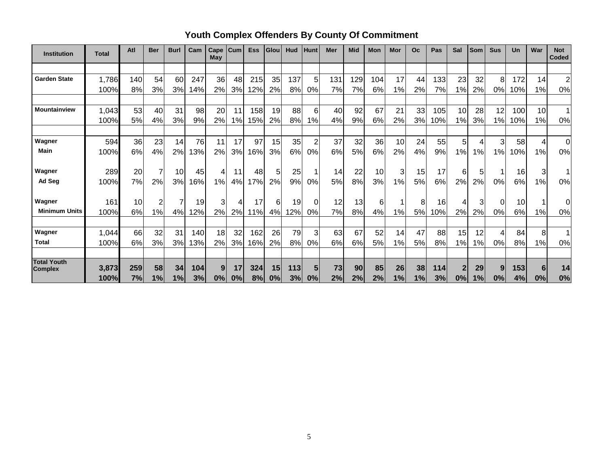| Youth Complex Offenders By County Of Commitment |  |  |  |  |
|-------------------------------------------------|--|--|--|--|
|-------------------------------------------------|--|--|--|--|

| <b>Institution</b>                   | <b>Total</b> | Atl | <b>Ber</b> | <b>Burl</b>    | Cam | Cape<br>May | Cum | <b>Ess</b> | Glou | <b>Hud</b> | <b>Hunt</b>    | Mer | Mid | <b>Mon</b> | Mor | <b>Oc</b> | Pas | Sal             | Som | <b>Sus</b> | Un  | War            | <b>Not</b><br>Coded |
|--------------------------------------|--------------|-----|------------|----------------|-----|-------------|-----|------------|------|------------|----------------|-----|-----|------------|-----|-----------|-----|-----------------|-----|------------|-----|----------------|---------------------|
|                                      |              |     |            |                |     |             |     |            |      |            |                |     |     |            |     |           |     |                 |     |            |     |                |                     |
| <b>Garden State</b>                  | 1,786        | 140 | 54         | 60             | 247 | 36          | 48  | 215        | 35   | 137        | 5 <sub>5</sub> | 131 | 129 | 104        | 17  | 44        | 133 | 23              | 32  | 8          | 172 | 14             | $\overline{2}$      |
|                                      | 100%         | 8%  | 3%         | 3%             | 14% | 2%          | 3%  | 2%         | 2%   | 8%         | 0%             | 7%  | 7%  | 6%         | 1%  | 2%        | 7%  | 1%              | 2%  | 0%         | 10% | 1%             | 0%                  |
|                                      |              |     |            |                |     |             |     |            |      |            |                |     |     |            |     |           |     |                 |     |            |     |                |                     |
| <b>Mountainview</b>                  | 1,043        | 53  | 40         | 31             | 98  | 20          | 11  | 158        | 19   | 88         | 6              | 40  | 92  | 67         | 21  | 33        | 105 | 10 <sup>1</sup> | 28  | 12         | 100 | 10             | $\overline{1}$      |
|                                      | 100%         | 5%  | 4%         | 3%             | 9%  | 2%          | 1%  | 15%        | 2%   | 8%         | 1%             | 4%  | 9%  | 6%         | 2%  | 3%        | 10% | 1%              | 3%  | 1%         | 10% | 1%             | 0%                  |
|                                      |              |     |            |                |     |             |     |            |      |            |                |     |     |            |     |           |     |                 |     |            |     |                |                     |
| Wagner                               | 594          | 36  | 23         | 14             | 76  | 11          | 17  | 97         | 15   | 35         | $\overline{2}$ | 37  | 32  | 36         | 10  | 24        | 55  | 5 <sub>l</sub>  | 4   | 3          | 58  | 4              | $\Omega$            |
| <b>Main</b>                          | 100%         | 6%  | 4%         | 2%             | 13% | 2%          | 3%  | 16%        | 3%   | 6%         | 0%             | 6%  | 5%  | 6%         | 2%  | 4%        | 9%  | 1%              | 1%  | 1%         | 10% | 1%             | 0%                  |
| Wagner                               | 289          | 20  | 7          | 10             | 45  | 4           | 11  | 48         | 5    | 25         |                | 14  | 22  | 10         | 3   | 15        | 17  | 6               | 5   |            | 16  | 3              |                     |
| Ad Seg                               | 100%         | 7%  | 2%         | 3%             | 16% | 1%          | 4%  | 17%        | 2%   | 9%         | 0%             | 5%  | 8%  | 3%         | 1%  | 5%        | 6%  | 2%              | 2%  | 0%         | 6%  | 1%             | 0%                  |
|                                      |              |     |            |                |     |             |     |            |      |            |                |     |     |            |     |           |     |                 |     |            |     |                |                     |
| Wagner                               | 161          | 10  | 2          | $\overline{7}$ | 19  | 3           | 4   | 17         | 6    | 19         | 0              | 12  | 13  | 6          |     | 8         | 16  |                 | 3   | 0          | 10  |                | $\Omega$            |
| <b>Minimum Units</b>                 | 100%         | 6%  | 1%         | 4%             | 12% | 2%          | 2%  | 1%<br>1    | 4%   | 12%        | 0%             | 7%  | 8%  | 4%         | 1%  | 5%        | 10% | 2%              | 2%  | 0%         | 6%  | 1%             | 0%                  |
|                                      |              |     |            |                |     |             |     |            |      |            |                |     |     |            |     |           |     |                 |     |            |     |                |                     |
| Wagner                               | 1,044        | 66  | 32         | 31             | 140 | 18          | 32  | 162        | 26   | 79         | 3              | 63  | 67  | 52         | 14  | 47        | 88  | 15              | 12  | 4          | 84  | 8 <sup>1</sup> |                     |
| <b>Total</b>                         | 100%         | 6%  | 3%         | 3%             | 3%  | 2%          | 3%  | 16%        | 2%   | 8%         | 0%             | 6%  | 6%  | 5%         | 1%  | 5%        | 8%  | 1%              | 1%  | 0%         | 8%  | 1%             | 0%                  |
|                                      |              |     |            |                |     |             |     |            |      |            |                |     |     |            |     |           |     |                 |     |            |     |                |                     |
| <b>Total Youth</b><br><b>Complex</b> | 3,873        | 259 | 58         | 34             | 104 | 9           | 17  | 324        | 15   | 113        | 5              | 73  | 90  | 85         | 26  | 38        | 114 | $\mathbf{2}$    | 29  | 9          | 153 | 6              | 14                  |
|                                      | 100%         | 7%  | 1%         | 1%             | 3%  | 0%          | 0%  | 8%         | 0%   | 3%         | 0%             | 2%  | 2%  | 2%         | 1%  | 1%        | 3%  | 0%              | 1%  | 0%         | 4%  | 0%             | 0%                  |